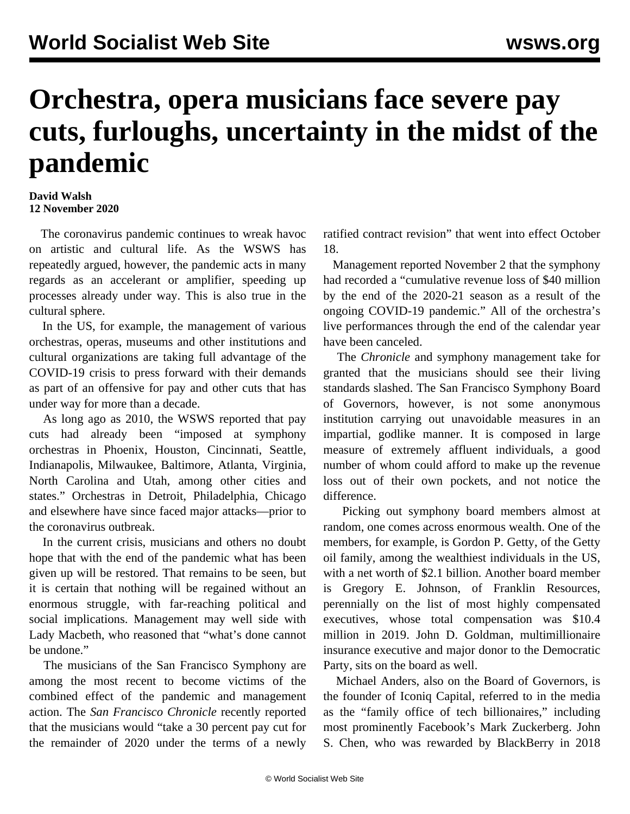## **Orchestra, opera musicians face severe pay cuts, furloughs, uncertainty in the midst of the pandemic**

## **David Walsh 12 November 2020**

 The coronavirus pandemic continues to wreak havoc on artistic and cultural life. As the WSWS has repeatedly argued, however, the pandemic acts in many regards as an accelerant or amplifier, speeding up processes already under way. This is also true in the cultural sphere.

 In the US, for example, the management of various orchestras, operas, museums and other institutions and cultural organizations are taking full advantage of the COVID-19 crisis to press forward with their demands as part of an offensive for pay and other cuts that has under way for more than a decade.

 As long ago as 2010, the WSWS reported that pay cuts had already been "imposed at symphony orchestras in Phoenix, Houston, Cincinnati, Seattle, Indianapolis, Milwaukee, Baltimore, Atlanta, Virginia, North Carolina and Utah, among other cities and states." Orchestras in Detroit, Philadelphia, Chicago and elsewhere have since faced major attacks—prior to the coronavirus outbreak.

 In the current crisis, musicians and others no doubt hope that with the end of the pandemic what has been given up will be restored. That remains to be seen, but it is certain that nothing will be regained without an enormous struggle, with far-reaching political and social implications. Management may well side with Lady Macbeth, who reasoned that "what's done cannot be undone."

 The musicians of the San Francisco Symphony are among the most recent to become victims of the combined effect of the pandemic and management action. The *San Francisco Chronicle* recently reported that the musicians would "take a 30 percent pay cut for the remainder of 2020 under the terms of a newly ratified contract revision" that went into effect October 18.

 Management reported November 2 that the symphony had recorded a "cumulative revenue loss of \$40 million by the end of the 2020-21 season as a result of the ongoing COVID-19 pandemic." All of the orchestra's live performances through the end of the calendar year have been canceled.

 The *Chronicle* and symphony management take for granted that the musicians should see their living standards slashed. The San Francisco Symphony Board of Governors, however, is not some anonymous institution carrying out unavoidable measures in an impartial, godlike manner. It is composed in large measure of extremely affluent individuals, a good number of whom could afford to make up the revenue loss out of their own pockets, and not notice the difference.

 Picking out symphony board members almost at random, one comes across enormous wealth. One of the members, for example, is Gordon P. Getty, of the Getty oil family, among the wealthiest individuals in the US, with a net worth of \$2.1 billion. Another board member is Gregory E. Johnson, of Franklin Resources, perennially on the list of most highly compensated executives, whose total compensation was \$10.4 million in 2019. John D. Goldman, multimillionaire insurance executive and major donor to the Democratic Party, sits on the board as well.

 Michael Anders, also on the Board of Governors, is the founder of Iconiq Capital, referred to in the media as the "family office of tech billionaires," including most prominently Facebook's Mark Zuckerberg. John S. Chen, who was rewarded by BlackBerry in 2018